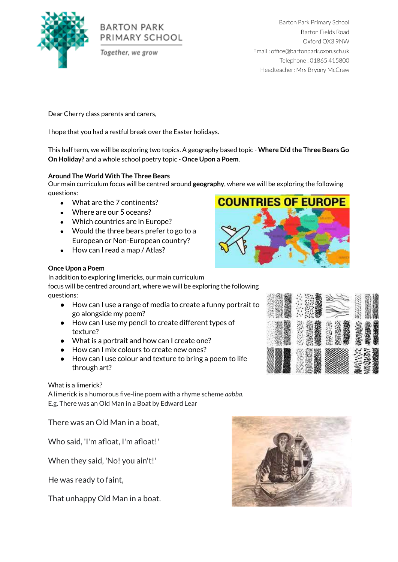

# **BARTON PARK** PRIMARY SCHOOL

Together, we grow

Barton Park Primary School Barton Fields Road Oxford OX3 9NW Email : office@bartonpark.oxon.sch.uk Telephone : 01865 415800 Headteacher: Mrs Bryony McCraw

Dear Cherry class parents and carers,

I hope that you had a restful break over the Easter holidays.

This half term, we will be exploring two topics. A geography based topic - **Where Did the Three Bears Go On Holiday?** and a whole school poetry topic - **Once Upon a Poem**.

# **Around The World With The Three Bears**

Our main curriculum focus will be centred around **geography**, where we will be exploring the following questions:

- What are the 7 continents?
- Where are our 5 oceans?
- Which countries are in Europe?
- Would the three bears prefer to go to a European or Non-European country?
- How can I read a map / Atlas?



# **Once Upon a Poem**

In addition to exploring limericks, our main curriculum focus will be centred around art, where we will be exploring the following questions:

- How can I use a range of media to create a funny portrait to go alongside my poem?
- How can I use my pencil to create different types of texture?
- What is a portrait and how can I create one?
- How can I mix colours to create new ones?
- How can I use colour and texture to bring a poem to life through art?

# What is a limerick?

A limerick is a humorous five-line poem with a rhyme scheme *aabba*. E.g. There was an Old Man in a Boat by Edward Lear

There was an Old Man in a boat,

Who said, 'I'm afloat, I'm afloat!'

When they said, 'No! you ain't!'

He was ready to faint,

That unhappy Old Man in a boat.



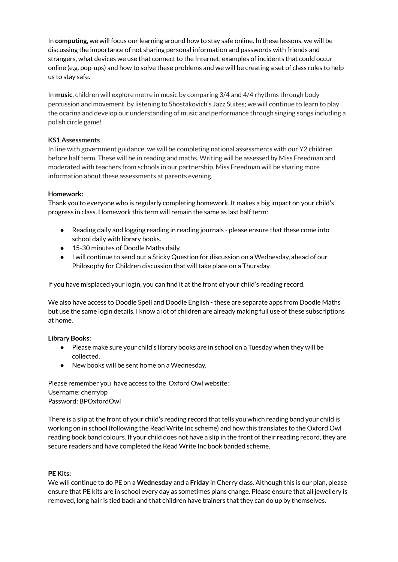In **computing**, we will focus our learning around how to stay safe online. In these lessons, we will be discussing the importance of not sharing personal information and passwords with friends and strangers, what devices we use that connect to the Internet, examples of incidents that could occur online (e.g. pop-ups) and how to solve these problems and we will be creating a set of class rules to help us to stay safe.

In **music**, children will explore metre in music by comparing 3/4 and 4/4 rhythms through body percussion and movement, by listening to Shostakovich's Jazz Suites; we will continue to learn to play the ocarina and develop our understanding of music and performance through singing songs including a polish circle game!

#### **KS1 Assessments**

In line with government guidance, we will be completing national assessments with our Y2 children before half term. These will be in reading and maths. Writing will be assessed by Miss Freedman and moderated with teachers from schools in our partnership. Miss Freedman will be sharing more information about these assessments at parents evening.

# **Homework:**

Thank you to everyone who is regularly completing homework. It makes a big impact on your child's progress in class. Homework this term will remain the same as last half term:

- Reading daily and logging reading in reading journals please ensure that these come into school daily with library books.
- 15-30 minutes of Doodle Maths daily.
- I will continue to send out a Sticky Question for discussion on a Wednesday, ahead of our Philosophy for Children discussion that will take place on a Thursday.

If you have misplaced your login, you can find it at the front of your child's reading record.

We also have access to Doodle Spell and Doodle English - these are separate apps from Doodle Maths but use the same login details. I know a lot of children are already making full use of these subscriptions at home.

#### **Library Books:**

- Please make sure your child's library books are in school on a Tuesday when they will be collected.
- New books will be sent home on a Wednesday.

Please remember you have access to the Oxford Owl website: Username: cherrybp Password: BPOxfordOwl

There is a slip at the front of your child's reading record that tells you which reading band your child is working on in school (following the Read Write Inc scheme) and how this translates to the Oxford Owl reading book band colours. If your child does not have a slip in the front of their reading record, they are secure readers and have completed the Read Write Inc book banded scheme.

#### **PE Kits:**

We will continue to do PE on a **Wednesday** and a **Friday** in Cherry class. Although this is our plan, please ensure that PE kits are in school every day as sometimes plans change. Please ensure that all jewellery is removed, long hair is tied back and that children have trainers that they can do up by themselves.